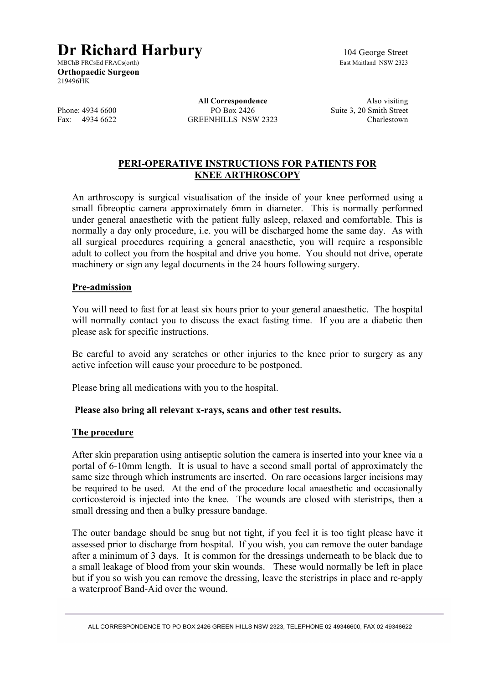# **Dr Richard Harbury** 104 George Street<br>MBChB FRCsEd FRACs(orth)<br>East Maitland NSW 2323

MBChB FRCsEd FRACs(orth) **Orthopaedic Surgeon** 219496HK

**All Correspondence** Also visiting Phone: 4934 6600 PO Box 2426 Suite 3, 20 Smith Street<br>Fax: 4934 6622 GREENHILLS NSW 2323 Charlestown GREENHILLS NSW 2323 Charlestown

# **PERI-OPERATIVE INSTRUCTIONS FOR PATIENTS FOR KNEE ARTHROSCOPY**

An arthroscopy is surgical visualisation of the inside of your knee performed using a small fibreoptic camera approximately 6mm in diameter. This is normally performed under general anaesthetic with the patient fully asleep, relaxed and comfortable. This is normally a day only procedure, i.e. you will be discharged home the same day. As with all surgical procedures requiring a general anaesthetic, you will require a responsible adult to collect you from the hospital and drive you home. You should not drive, operate machinery or sign any legal documents in the 24 hours following surgery.

### **Pre-admission**

You will need to fast for at least six hours prior to your general anaesthetic. The hospital will normally contact you to discuss the exact fasting time. If you are a diabetic then please ask for specific instructions.

Be careful to avoid any scratches or other injuries to the knee prior to surgery as any active infection will cause your procedure to be postponed.

Please bring all medications with you to the hospital.

## **Please also bring all relevant x-rays, scans and other test results.**

#### **The procedure**

After skin preparation using antiseptic solution the camera is inserted into your knee via a portal of 6-10mm length. It is usual to have a second small portal of approximately the same size through which instruments are inserted. On rare occasions larger incisions may be required to be used. At the end of the procedure local anaesthetic and occasionally corticosteroid is injected into the knee. The wounds are closed with steristrips, then a small dressing and then a bulky pressure bandage.

The outer bandage should be snug but not tight, if you feel it is too tight please have it assessed prior to discharge from hospital. If you wish, you can remove the outer bandage after a minimum of 3 days. It is common for the dressings underneath to be black due to a small leakage of blood from your skin wounds. These would normally be left in place but if you so wish you can remove the dressing, leave the steristrips in place and re-apply a waterproof Band-Aid over the wound.

ALL CORRESPONDENCE TO PO BOX 2426 GREEN HILLS NSW 2323, TELEPHONE 02 49346600, FAX 02 49346622